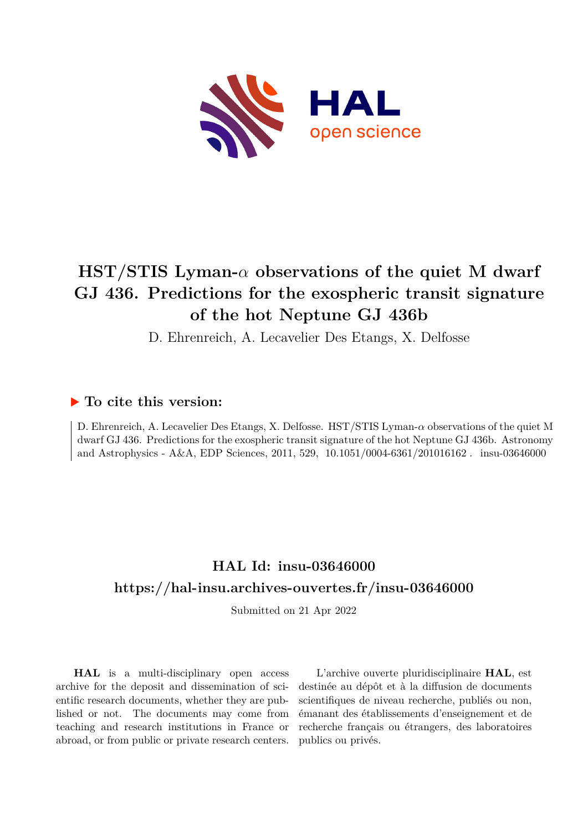

# **HST/STIS Lyman-***α* **observations of the quiet M dwarf GJ 436. Predictions for the exospheric transit signature of the hot Neptune GJ 436b**

D. Ehrenreich, A. Lecavelier Des Etangs, X. Delfosse

# **To cite this version:**

D. Ehrenreich, A. Lecavelier Des Etangs, X. Delfosse. HST/STIS Lyman-*α* observations of the quiet M dwarf GJ 436. Predictions for the exospheric transit signature of the hot Neptune GJ 436b. Astronomy and Astrophysics - A&A, EDP Sciences, 2011, 529,  $10.1051/0004-6361/201016162$ . insu-03646000

# **HAL Id: insu-03646000 <https://hal-insu.archives-ouvertes.fr/insu-03646000>**

Submitted on 21 Apr 2022

**HAL** is a multi-disciplinary open access archive for the deposit and dissemination of scientific research documents, whether they are published or not. The documents may come from teaching and research institutions in France or abroad, or from public or private research centers.

L'archive ouverte pluridisciplinaire **HAL**, est destinée au dépôt et à la diffusion de documents scientifiques de niveau recherche, publiés ou non, émanant des établissements d'enseignement et de recherche français ou étrangers, des laboratoires publics ou privés.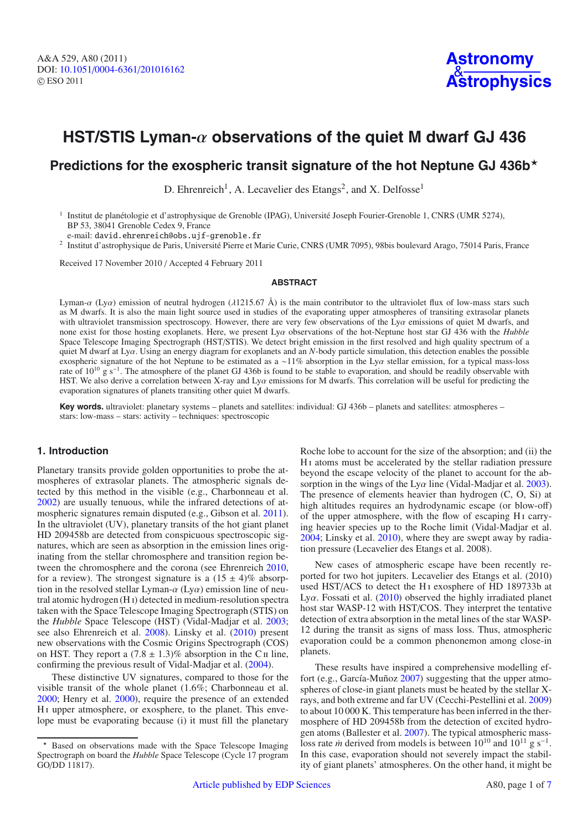# **HST/STIS Lyman-**α **observations of the quiet M dwarf GJ 436**

# **Predictions for the exospheric transit signature of the hot Neptune GJ 436b**

D. Ehrenreich<sup>1</sup>, A. Lecavelier des Etangs<sup>2</sup>, and X. Delfosse<sup>1</sup>

<sup>1</sup> Institut de planétologie et d'astrophysique de Grenoble (IPAG), Université Joseph Fourier-Grenoble 1, CNRS (UMR 5274), BP 53, 38041 Grenoble Cedex 9, France

e-mail: david.ehrenreich@obs.ujf-grenoble.fr

<sup>2</sup> Institut d'astrophysique de Paris, Université Pierre et Marie Curie, CNRS (UMR 7095), 98bis boulevard Arago, 75014 Paris, France

Received 17 November 2010 / Accepted 4 February 2011

#### **ABSTRACT**

Lyman- $\alpha$  (Ly $\alpha$ ) emission of neutral hydrogen ( $\lambda$ 1215.67 Å) is the main contributor to the ultraviolet flux of low-mass stars such as M dwarfs. It is also the main light source used in studies of the evaporating upper atmospheres of transiting extrasolar planets with ultraviolet transmission spectroscopy. However, there are very few observations of the  $\dot{L}y\alpha$  emissions of quiet M dwarfs, and none exist for those hosting exoplanets. Here, we present Lyα observations of the hot-Neptune host star GJ 436 with the *Hubble* Space Telescope Imaging Spectrograph (HST/STIS). We detect bright emission in the first resolved and high quality spectrum of a quiet M dwarf at Lya. Using an energy diagram for exoplanets and an *N*-body particle simulation, this detection enables the possible exospheric signature of the hot Neptune to be estimated as a <sup>∼</sup>11% absorption in the Lyα stellar emission, for a typical mass-loss rate of 10<sup>10</sup> g s<sup>-1</sup>. The atmosphere of the planet GJ 436b is found to be stable to evaporation, and should be readily observable with HST. We also derive a correlation between X-ray and  $Ly\alpha$  emissions for M dwarfs. This correlation will be useful for predicting the evaporation signatures of planets transiting other quiet M dwarfs.

**Key words.** ultraviolet: planetary systems – planets and satellites: individual: GJ 436b – planets and satellites: atmospheres – stars: low-mass – stars: activity – techniques: spectroscopic

# **1. Introduction**

Planetary transits provide golden opportunities to probe the atmospheres of extrasolar planets. The atmospheric signals detected by this method in the visible (e.g., Charbonneau et al. 2002) are usually tenuous, while the infrared detections of atmospheric signatures remain disputed (e.g., Gibson et al. 2011). In the ultraviolet (UV), planetary transits of the hot giant planet HD 209458b are detected from conspicuous spectroscopic signatures, which are seen as absorption in the emission lines originating from the stellar chromosphere and transition region between the chromosphere and the corona (see Ehrenreich 2010, for a review). The strongest signature is a  $(15 \pm 4)\%$  absorption in the resolved stellar Lyman- $\alpha$  (Ly $\alpha$ ) emission line of neutral atomic hydrogen (H i) detected in medium-resolution spectra taken with the Space Telescope Imaging Spectrograph (STIS) on the *Hubble* Space Telescope (HST) (Vidal-Madjar et al. 2003; see also Ehrenreich et al. 2008). Linsky et al. (2010) present new observations with the Cosmic Origins Spectrograph (COS) on HST. They report a  $(7.8 \pm 1.3)\%$  absorption in the C<sub>II</sub> line, confirming the previous result of Vidal-Madjar et al. (2004).

These distinctive UV signatures, compared to those for the visible transit of the whole planet (1.6%; Charbonneau et al. 2000; Henry et al. 2000), require the presence of an extended H<sub>I</sub> upper atmosphere, or exosphere, to the planet. This envelope must be evaporating because (i) it must fill the planetary

Roche lobe to account for the size of the absorption; and (ii) the H i atoms must be accelerated by the stellar radiation pressure beyond the escape velocity of the planet to account for the absorption in the wings of the  $Ly\alpha$  line (Vidal-Madjar et al. 2003). The presence of elements heavier than hydrogen (C, O, Si) at high altitudes requires an hydrodynamic escape (or blow-off) of the upper atmosphere, with the flow of escaping H<sub>I</sub> carrying heavier species up to the Roche limit (Vidal-Madjar et al. 2004; Linsky et al. 2010), where they are swept away by radiation pressure (Lecavelier des Etangs et al. 2008).

New cases of atmospheric escape have been recently reported for two hot jupiters. Lecavelier des Etangs et al. (2010) used HST/ACS to detect the H<sub>I</sub> exosphere of HD 189733b at Ly $\alpha$ . Fossati et al. (2010) observed the highly irradiated planet host star WASP-12 with HST/COS. They interpret the tentative detection of extra absorption in the metal lines of the star WASP-12 during the transit as signs of mass loss. Thus, atmospheric evaporation could be a common phenonemon among close-in planets.

These results have inspired a comprehensive modelling effort (e.g., García-Muñoz 2007) suggesting that the upper atmospheres of close-in giant planets must be heated by the stellar Xrays, and both extreme and far UV (Cecchi-Pestellini et al. 2009) to about 10 000 K. This temperature has been inferred in the thermosphere of HD 209458b from the detection of excited hydrogen atoms (Ballester et al. 2007). The typical atmospheric massloss rate *in* derived from models is between  $10^{10}$  and  $10^{11}$  g s<sup>-1</sup>. In this case, evaporation should not severely impact the stability of giant planets' atmospheres. On the other hand, it might be

<sup>\*</sup> Based on observations made with the Space Telescope Imaging Spectrograph on board the *Hubble* Space Telescope (Cycle 17 program GO/DD 11817).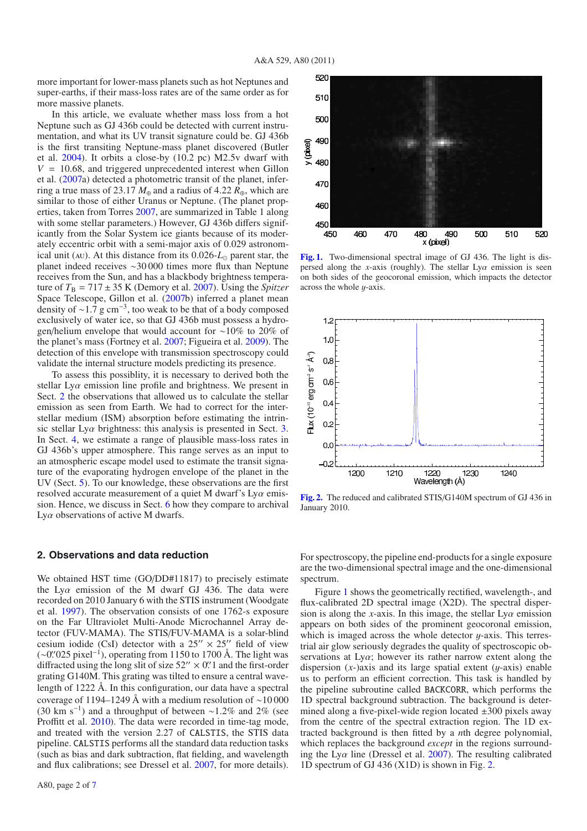more important for lower-mass planets such as hot Neptunes and super-earths, if their mass-loss rates are of the same order as for more massive planets.

In this article, we evaluate whether mass loss from a hot Neptune such as GJ 436b could be detected with current instrumentation, and what its UV transit signature could be. GJ 436b is the first transiting Neptune-mass planet discovered (Butler et al. 2004). It orbits a close-by (10.2 pc) M2.5v dwarf with  $V = 10.68$ , and triggered unprecedented interest when Gillon et al. (2007a) detected a photometric transit of the planet, inferring a true mass of 23.17  $M_{\oplus}$  and a radius of 4.22  $R_{\oplus}$ , which are similar to those of either Uranus or Neptune. (The planet properties, taken from Torres 2007, are summarized in Table 1 along with some stellar parameters.) However, GJ 436b differs significantly from the Solar System ice giants because of its moderately eccentric orbit with a semi-major axis of 0.029 astronomical unit (AU). At this distance from its  $0.026$ - $L_{\odot}$  parent star, the planet indeed receives ∼30 000 times more flux than Neptune receives from the Sun, and has a blackbody brightness temperature of  $T_B = 717 \pm 35$  K (Demory et al. 2007). Using the *Spitzer* Space Telescope, Gillon et al. (2007b) inferred a planet mean density of ∼1.7 g cm−3, too weak to be that of a body composed exclusively of water ice, so that GJ 436b must possess a hydrogen/helium envelope that would account for ∼10% to 20% of the planet's mass (Fortney et al. 2007; Figueira et al. 2009). The detection of this envelope with transmission spectroscopy could validate the internal structure models predicting its presence.

To assess this possiblity, it is necessary to derived both the stellar  $Ly\alpha$  emission line profile and brightness. We present in Sect. 2 the observations that allowed us to calculate the stellar emission as seen from Earth. We had to correct for the interstellar medium (ISM) absorption before estimating the intrinsic stellar  $Ly\alpha$  brightness: this analysis is presented in Sect. 3. In Sect. 4, we estimate a range of plausible mass-loss rates in GJ 436b's upper atmosphere. This range serves as an input to an atmospheric escape model used to estimate the transit signature of the evaporating hydrogen envelope of the planet in the UV (Sect. 5). To our knowledge, these observations are the first resolved accurate measurement of a quiet M dwarf's Ly $\alpha$  emission. Hence, we discuss in Sect. 6 how they compare to archival Ly $\alpha$  observations of active M dwarfs.

# **2. Observations and data reduction**

We obtained HST time (GO/DD#11817) to precisely estimate the Ly $\alpha$  emission of the M dwarf GJ 436. The data were recorded on 2010 January 6 with the STIS instrument (Woodgate et al. 1997). The observation consists of one 1762-s exposure on the Far Ultraviolet Multi-Anode Microchannel Array detector (FUV-MAMA). The STIS/FUV-MAMA is a solar-blind cesium iodide (CsI) detector with a  $25'' \times 25''$  field of view (∼0'.'025 pixel<sup>-1</sup>), operating from 1150 to 1700 Å. The light was<br>diffracted using the long slit of size 52'' × 0''1 and the first-order diffracted using the long slit of size  $52'' \times 0''$  and the first-order<br>grating G140M. This grating was tilted to ensure a central wavegrating G140M. This grating was tilted to ensure a central wavelength of 1222 Å. In this configuration, our data have a spectral coverage of 1194–1249 Å with a medium resolution of ∼10 000 (30 km s<sup>-1</sup>) and a throughput of between ~1.2% and 2% (see Proffitt et al. 2010). The data were recorded in time-tag mode, and treated with the version 2.27 of CALSTIS, the STIS data pipeline. CALSTIS performs all the standard data reduction tasks (such as bias and dark subtraction, flat fielding, and wavelength and flux calibrations; see Dressel et al. 2007, for more details).



**[Fig. 1.](http://dexter.edpsciences.org/applet.php?DOI=10.1051/0004-6361/201016162&pdf_id=1)** Two-dimensional spectral image of GJ 436. The light is dispersed along the *x*-axis (roughly). The stellar  $Ly\alpha$  emission is seen on both sides of the geocoronal emission, which impacts the detector across the whole  $y$ -axis.



**[Fig. 2.](http://dexter.edpsciences.org/applet.php?DOI=10.1051/0004-6361/201016162&pdf_id=2)** The reduced and calibrated STIS/G140M spectrum of GJ 436 in January 2010.

For spectroscopy, the pipeline end-products for a single exposure are the two-dimensional spectral image and the one-dimensional spectrum.

Figure 1 shows the geometrically rectified, wavelength-, and flux-calibrated 2D spectral image (X2D). The spectral dispersion is along the *x*-axis. In this image, the stellar  $Ly\alpha$  emission appears on both sides of the prominent geocoronal emission, which is imaged across the whole detector  $y$ -axis. This terrestrial air glow seriously degrades the quality of spectroscopic observations at  $Ly\alpha$ ; however its rather narrow extent along the dispersion  $(x)$ -)axis and its large spatial extent  $(y)$ -axis enable us to perform an efficient correction. This task is handled by the pipeline subroutine called BACKCORR, which performs the 1D spectral background subtraction. The background is determined along a five-pixel-wide region located  $\pm 300$  pixels away from the centre of the spectral extraction region. The 1D extracted background is then fitted by a *n*th degree polynomial, which replaces the background *except* in the regions surrounding the Ly $\alpha$  line (Dressel et al. 2007). The resulting calibrated 1D spectrum of GJ 436 (X1D) is shown in Fig. 2.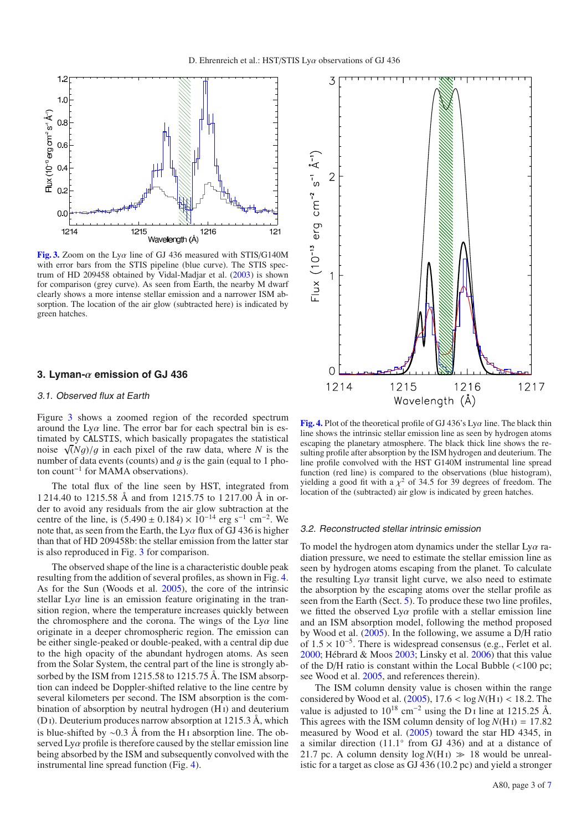

**[Fig. 3.](http://dexter.edpsciences.org/applet.php?DOI=10.1051/0004-6361/201016162&pdf_id=3)** Zoom on the Ly $\alpha$  line of GJ 436 measured with STIS/G140M with error bars from the STIS pipeline (blue curve). The STIS spectrum of HD 209458 obtained by Vidal-Madjar et al. (2003) is shown for comparison (grey curve). As seen from Earth, the nearby M dwarf clearly shows a more intense stellar emission and a narrower ISM absorption. The location of the air glow (subtracted here) is indicated by green hatches.

### **3. Lyman-**α **emission of GJ 436**

#### 3.1. Observed flux at Earth

Figure 3 shows a zoomed region of the recorded spectrum around the  $Ly\alpha$  line. The error bar for each spectral bin is estimated by CALSTIS, which basically propagates the statistical noise  $\sqrt{(Ng)/g}$  in each pixel of the raw data, where *N* is the number of data events (counts) and *a* is the gain (equal to 1 phonumber of data events (counts) and  $q$  is the gain (equal to 1 photon count−<sup>1</sup> for MAMA observations).

The total flux of the line seen by HST, integrated from 1 214.40 to 1215.58 Å and from 1215.75 to 1 217.00 Å in order to avoid any residuals from the air glow subtraction at the centre of the line, is  $(5.490 \pm 0.184) \times 10^{-14}$  erg s<sup>-1</sup> cm<sup>-2</sup>. We note that, as seen from the Earth, the  $Ly\alpha$  flux of GJ 436 is higher than that of HD 209458b: the stellar emission from the latter star is also reproduced in Fig. 3 for comparison.

The observed shape of the line is a characteristic double peak resulting from the addition of several profiles, as shown in Fig. 4. As for the Sun (Woods et al. 2005), the core of the intrinsic stellar  $Ly\alpha$  line is an emission feature originating in the transition region, where the temperature increases quickly between the chromosphere and the corona. The wings of the  $Ly\alpha$  line originate in a deeper chromospheric region. The emission can be either single-peaked or double-peaked, with a central dip due to the high opacity of the abundant hydrogen atoms. As seen from the Solar System, the central part of the line is strongly absorbed by the ISM from 1215.58 to 1215.75 Å. The ISM absorption can indeed be Doppler-shifted relative to the line centre by several kilometers per second. The ISM absorption is the combination of absorption by neutral hydrogen (H<sub>1</sub>) and deuterium  $(D I)$ . Deuterium produces narrow absorption at 1215.3 Å, which is blue-shifted by  $\sim$ 0.3 Å from the H<sub>I</sub> absorption line. The observed  $Ly\alpha$  profile is therefore caused by the stellar emission line being absorbed by the ISM and subsequently convolved with the instrumental line spread function (Fig. 4).



**[Fig. 4.](http://dexter.edpsciences.org/applet.php?DOI=10.1051/0004-6361/201016162&pdf_id=4)** Plot of the theoretical profile of GJ 436's Lyα line. The black thin line shows the intrinsic stellar emission line as seen by hydrogen atoms escaping the planetary atmosphere. The black thick line shows the resulting profile after absorption by the ISM hydrogen and deuterium. The line profile convolved with the HST G140M instrumental line spread function (red line) is compared to the observations (blue histogram), yielding a good fit with a  $\chi^2$  of 34.5 for 39 degrees of freedom. The location of the (subtracted) air glow is indicated by green hatches.

#### 3.2. Reconstructed stellar intrinsic emission

To model the hydrogen atom dynamics under the stellar  $Ly\alpha$  radiation pressure, we need to estimate the stellar emission line as seen by hydrogen atoms escaping from the planet. To calculate the resulting  $Ly\alpha$  transit light curve, we also need to estimate the absorption by the escaping atoms over the stellar profile as seen from the Earth (Sect. 5). To produce these two line profiles, we fitted the observed  $Ly\alpha$  profile with a stellar emission line and an ISM absorption model, following the method proposed by Wood et al. (2005). In the following, we assume a D/H ratio of  $1.5 \times 10^{-5}$ . There is widespread consensus (e.g., Ferlet et al. 2000; Hébrard & Moos 2003; Linsky et al. 2006) that this value of the D/H ratio is constant within the Local Bubble (<100 pc; see Wood et al. 2005, and references therein).

The ISM column density value is chosen within the range considered by Wood et al.  $(2005)$ ,  $17.6 < \log N(H) < 18.2$ . The value is adjusted to  $10^{18}$  cm<sup>-2</sup> using the D<sub>I</sub> line at 1215.25 Å. This agrees with the ISM column density of  $log N(H) = 17.82$ measured by Wood et al. (2005) toward the star HD 4345, in a similar direction (11.1◦ from GJ 436) and at a distance of 21.7 pc. A column density  $log N(HI) \gg 18$  would be unrealistic for a target as close as GJ 436 (10.2 pc) and yield a stronger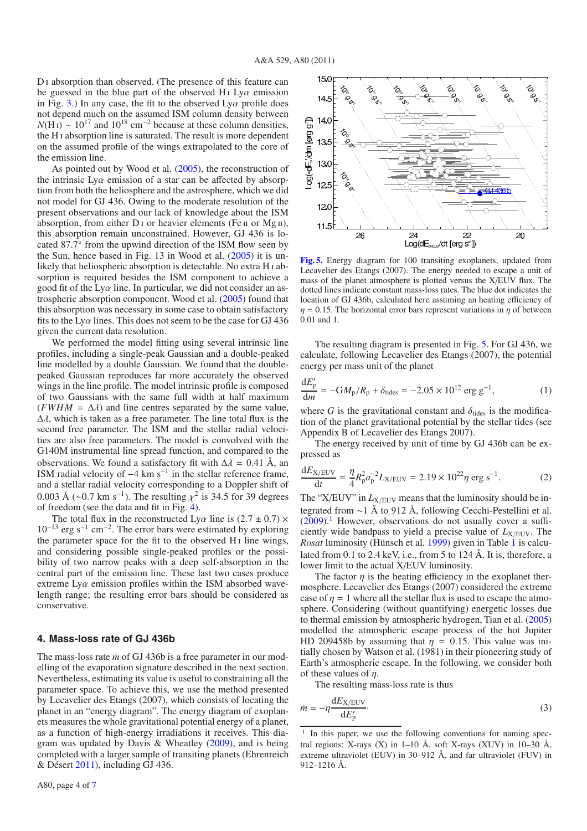D<sub>I</sub> absorption than observed. (The presence of this feature can be guessed in the blue part of the observed H<sub>1</sub> Ly $\alpha$  emission in Fig. 3.) In any case, the fit to the observed  $Ly\alpha$  profile does not depend much on the assumed ISM column density between  $N(H I) \sim 10^{17}$  and  $10^{18}$  cm<sup>-2</sup> because at these column densities, the H<sub>I</sub> absorption line is saturated. The result is more dependent on the assumed profile of the wings extrapolated to the core of the emission line.

As pointed out by Wood et al. (2005), the reconstruction of the intrinsic  $Lv\alpha$  emission of a star can be affected by absorption from both the heliosphere and the astrosphere, which we did not model for GJ 436. Owing to the moderate resolution of the present observations and our lack of knowledge about the ISM absorption, from either  $D_1$  or heavier elements (Fe  $\pi$  or  $Mg\pi$ ), this absorption remain unconstrained. However, GJ 436 is located 87.7◦ from the upwind direction of the ISM flow seen by the Sun, hence based in Fig. 13 in Wood et al. (2005) it is unlikely that heliospheric absorption is detectable. No extra H<sub>1</sub> absorption is required besides the ISM component to achieve a good fit of the  $Ly\alpha$  line. In particular, we did not consider an astrospheric absorption component. Wood et al. (2005) found that this absorption was necessary in some case to obtain satisfactory fits to the Ly $\alpha$  lines. This does not seem to be the case for GJ 436 given the current data resolution.

We performed the model fitting using several intrinsic line profiles, including a single-peak Gaussian and a double-peaked line modelled by a double Gaussian. We found that the doublepeaked Gaussian reproduces far more accurately the observed wings in the line profile. The model intrinsic profile is composed of two Gaussians with the same full width at half maximum  $(FWHM = \Delta \lambda)$  and line centres separated by the same value,  $\Delta \lambda$ , which is taken as a free parameter. The line total flux is the second free parameter. The ISM and the stellar radial velocities are also free parameters. The model is convolved with the G140M instrumental line spread function, and compared to the observations. We found a satisfactory fit with  $\Delta \lambda = 0.41$  Å, an ISM radial velocity of  $-4 \text{ km s}^{-1}$  in the stellar reference frame, and a stellar radial velocity corresponding to a Doppler shift of 0.003 Å (∼0.7 km s<sup>-1</sup>). The resulting  $\chi^2$  is 34.5 for 39 degrees of freedom (see the data and fit in Fig. 4).

The total flux in the reconstructed Ly $\alpha$  line is (2.7  $\pm$  0.7)  $\times$ 10−<sup>13</sup> erg s−<sup>1</sup> cm−2. The error bars were estimated by exploring the parameter space for the fit to the observed H<sub>I</sub> line wings, and considering possible single-peaked profiles or the possibility of two narrow peaks with a deep self-absorption in the central part of the emission line. These last two cases produce extreme  $Ly\alpha$  emission profiles within the ISM absorbed wavelength range; the resulting error bars should be considered as conservative.

#### **4. Mass-loss rate of GJ 436b**

The mass-loss rate *in* of GJ 436b is a free parameter in our modelling of the evaporation signature described in the next section. Nevertheless, estimating its value is useful to constraining all the parameter space. To achieve this, we use the method presented by Lecavelier des Etangs (2007), which consists of locating the planet in an "energy diagram". The energy diagram of exoplanets measures the whole gravitational potential energy of a planet, as a function of high-energy irradiations it receives. This diagram was updated by Davis & Wheatley (2009), and is being completed with a larger sample of transiting planets (Ehrenreich & Désert 2011), including GJ 436.



**[Fig. 5.](http://dexter.edpsciences.org/applet.php?DOI=10.1051/0004-6361/201016162&pdf_id=5)** Energy diagram for 100 transiting exoplanets, updated from Lecavelier des Etangs (2007). The energy needed to escape a unit of mass of the planet atmosphere is plotted versus the X/EUV flux. The dotted lines indicate constant mass-loss rates. The blue dot indicates the location of GJ 436b, calculated here assuming an heating efficiency of  $\eta = 0.15$ . The horizontal error bars represent variations in  $\eta$  of between 0.01 and 1.

The resulting diagram is presented in Fig. 5. For GJ 436, we calculate, following Lecavelier des Etangs (2007), the potential energy per mass unit of the planet

$$
\frac{dE'_{p}}{dm} = -GM_{p}/R_{p} + \delta_{\text{tides}} = -2.05 \times 10^{12} \text{ erg g}^{-1},\tag{1}
$$

where *G* is the gravitational constant and  $\delta_{\text{tides}}$  is the modification of the planet gravitational potential by the stellar tides (see Appendix B of Lecavelier des Etangs 2007).

The energy received by unit of time by GJ 436b can be expressed as

$$
\frac{dE_{X/EUV}}{dt} = \frac{\eta}{4} R_p^2 a_p^{-2} L_{X/EUV} = 2.19 \times 10^{22} \eta \text{ erg s}^{-1}.
$$
 (2)

The "X/EUV" in  $L_{X/EUV}$  means that the luminosity should be integrated from ∼1 Å to 912 Å, following Cecchi-Pestellini et al.  $(2009).$ <sup>1</sup> However, observations do not usually cover a sufficiently wide bandpass to yield a precise value of  $L_{X/EUV}$ . The *Rosat* luminosity (Hünsch et al. 1999) given in Table 1 is calculated from 0.1 to 2.4 keV, i.e., from 5 to 124 Å. It is, therefore, a lower limit to the actual X/EUV luminosity.

The factor  $\eta$  is the heating efficiency in the exoplanet thermosphere. Lecavelier des Etangs (2007) considered the extreme case of  $\eta = 1$  where all the stellar flux is used to escape the atmosphere. Considering (without quantifying) energetic losses due to thermal emission by atmospheric hydrogen, Tian et al. (2005) modelled the atmospheric escape process of the hot Jupiter HD 209458b by assuming that  $\eta = 0.15$ . This value was initially chosen by Watson et al. (1981) in their pioneering study of Earth's atmospheric escape. In the following, we consider both of these values of  $\eta$ .

The resulting mass-loss rate is thus

$$
\dot{m} = -\eta \frac{\mathrm{d}E_{X/EUV}}{\mathrm{d}E'_{p}}.\tag{3}
$$

<sup>&</sup>lt;sup>1</sup> In this paper, we use the following conventions for naming spectral regions: X-rays  $(X)$  in 1–10 Å, soft X-rays  $(XUV)$  in 10–30 Å, extreme ultraviolet (EUV) in 30–912 Å, and far ultraviolet (FUV) in 912–1216 Å.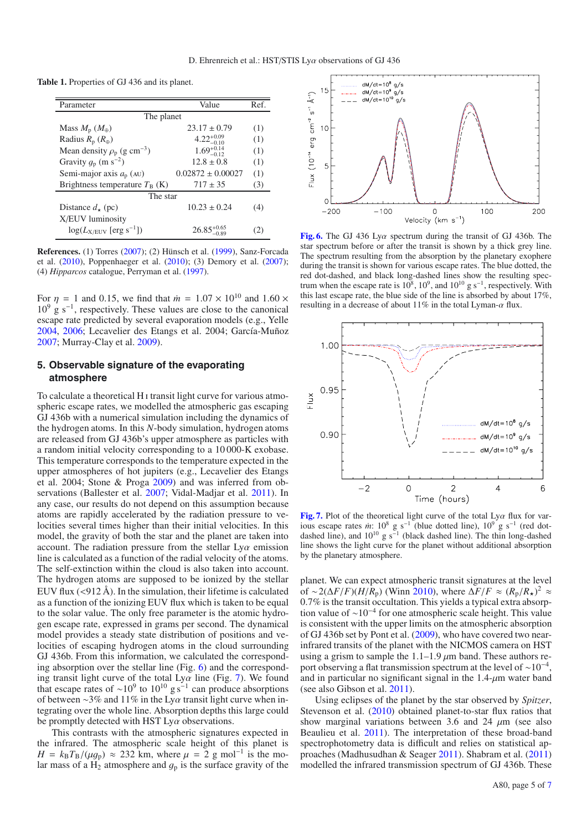**Table 1.** Properties of GJ 436 and its planet.

| Parameter                                   | Value                   | Ref. |  |  |  |  |  |
|---------------------------------------------|-------------------------|------|--|--|--|--|--|
| The planet                                  |                         |      |  |  |  |  |  |
| Mass $M_{\rm p}$ ( $M_{\oplus}$ )           | $23.17 \pm 0.79$        | (1)  |  |  |  |  |  |
| Radius $R_p(R_{\oplus})$                    | $4.22^{+0.09}_{-0.10}$  | (1)  |  |  |  |  |  |
| Mean density $\rho_p$ (g cm <sup>-3</sup> ) | $1.69^{+0.14}_{-0.12}$  | (1)  |  |  |  |  |  |
| Gravity $g_p$ (m s <sup>-2</sup> )          | $12.8 \pm 0.8$          | (1)  |  |  |  |  |  |
| Semi-major axis $a_p$ (AU)                  | $0.02872 \pm 0.00027$   | (1)  |  |  |  |  |  |
| Brightness temperature $T_B$ (K)            | $717 \pm 35$            | (3)  |  |  |  |  |  |
| The star                                    |                         |      |  |  |  |  |  |
| Distance $d_{\star}$ (pc)                   | $10.23 \pm 0.24$        | (4)  |  |  |  |  |  |
| X/EUV luminosity                            |                         |      |  |  |  |  |  |
| $log(L_{X/EUV}$ [erg s <sup>-1</sup> ])     | $26.85^{+0.05}_{-0.02}$ | [2]  |  |  |  |  |  |

**References.** (1) Torres (2007); (2) Hünsch et al. (1999), Sanz-Forcada et al. (2010), Poppenhaeger et al. (2010); (3) Demory et al. (2007); (4) *Hipparcos* catalogue, Perryman et al. (1997).

For  $\eta = 1$  and 0.15, we find that  $\dot{m} = 1.07 \times 10^{10}$  and 1.60  $\times$  $10^9$  g s<sup>-1</sup>, respectively. These values are close to the canonical escape rate predicted by several evaporation models (e.g., Yelle 2004, 2006; Lecavelier des Etangs et al. 2004; García-Muñoz 2007; Murray-Clay et al. 2009).

# **5. Observable signature of the evaporating atmosphere**

To calculate a theoretical H i transit light curve for various atmospheric escape rates, we modelled the atmospheric gas escaping GJ 436b with a numerical simulation including the dynamics of the hydrogen atoms. In this *N*-body simulation, hydrogen atoms are released from GJ 436b's upper atmosphere as particles with a random initial velocity corresponding to a 10 000-K exobase. This temperature corresponds to the temperature expected in the upper atmospheres of hot jupiters (e.g., Lecavelier des Etangs et al. 2004; Stone & Proga 2009) and was inferred from observations (Ballester et al. 2007; Vidal-Madjar et al. 2011). In any case, our results do not depend on this assumption because atoms are rapidly accelerated by the radiation pressure to velocities several times higher than their initial velocities. In this model, the gravity of both the star and the planet are taken into account. The radiation pressure from the stellar  $Ly\alpha$  emission line is calculated as a function of the radial velocity of the atoms. The self-extinction within the cloud is also taken into account. The hydrogen atoms are supposed to be ionized by the stellar EUV flux  $\left($  <912 Å). In the simulation, their lifetime is calculated as a function of the ionizing EUV flux which is taken to be equal to the solar value. The only free parameter is the atomic hydrogen escape rate, expressed in grams per second. The dynamical model provides a steady state distribution of positions and velocities of escaping hydrogen atoms in the cloud surrounding GJ 436b. From this information, we calculated the corresponding absorption over the stellar line (Fig. 6) and the corresponding transit light curve of the total Ly $\alpha$  line (Fig. 7). We found that escape rates of ~10<sup>9</sup> to 10<sup>10</sup> g s<sup>−1</sup> can produce absorptions of between ~3% and 11% in the Ly $\alpha$  transit light curve when integrating over the whole line. Absorption depths this large could be promptly detected with HST  $Ly\alpha$  observations.

This contrasts with the atmospheric signatures expected in the infrared. The atmospheric scale height of this planet is  $H = k_B T_B/(\mu g_p) \approx 232$  km, where  $\mu = 2$  g mol<sup>-1</sup> is the molar mass of a  $H_2$  atmosphere and  $g_p$  is the surface gravity of the



**[Fig. 6.](http://dexter.edpsciences.org/applet.php?DOI=10.1051/0004-6361/201016162&pdf_id=6)** The GJ 436 Lyα spectrum during the transit of GJ 436b. The star spectrum before or after the transit is shown by a thick grey line. The spectrum resulting from the absorption by the planetary exophere during the transit is shown for various escape rates. The blue dotted, the red dot-dashed, and black long-dashed lines show the resulting spectrum when the escape rate is  $10^8$ ,  $10^9$ , and  $10^{10}$  g s<sup>-1</sup>, respectively. With this last escape rate, the blue side of the line is absorbed by about 17%, resulting in a decrease of about  $11\%$  in the total Lyman- $\alpha$  flux.



**[Fig. 7.](http://dexter.edpsciences.org/applet.php?DOI=10.1051/0004-6361/201016162&pdf_id=7)** Plot of the theoretical light curve of the total  $Ly\alpha$  flux for various escape rates *in*: 10<sup>8</sup> g s<sup>-1</sup> (blue dotted line), 10<sup>9</sup> g s<sup>-1</sup> (red dotdashed line), and  $10^{10}$  g s<sup>-1</sup> (black dashed line). The thin long-dashed line shows the light curve for the planet without additional absorption by the planetary atmosphere.

planet. We can expect atmospheric transit signatures at the level of ~2( $\Delta F/F$ )( $H/R_p$ ) (Winn 2010), where  $\Delta F/F \approx (R_p/R_\star)^2 \approx 0.7\%$  is the transit occultation. This vields a typical extra absorp-0.7% is the transit occultation. This yields a typical extra absorp-<br>tion value of ~10<sup>−4</sup> for one atmospheric scale height. This value is consistent with the upper limits on the atmospheric absorption of GJ 436b set by Pont et al. (2009), who have covered two nearinfrared transits of the planet with the NICMOS camera on HST using a grism to sample the  $1.1-1.9 \mu m$  band. These authors report observing a flat transmission spectrum at the level of  $\sim 10^{-4}$ , and in particular no significant signal in the  $1.4$ - $\mu$ m water band (see also Gibson et al. 2011).

Using eclipses of the planet by the star observed by *Spitzer*, Stevenson et al. (2010) obtained planet-to-star flux ratios that show marginal variations between 3.6 and 24  $\mu$ m (see also Beaulieu et al. 2011). The interpretation of these broad-band spectrophotometry data is difficult and relies on statistical approaches (Madhusudhan & Seager 2011). Shabram et al. (2011) modelled the infrared transmission spectrum of GJ 436b. These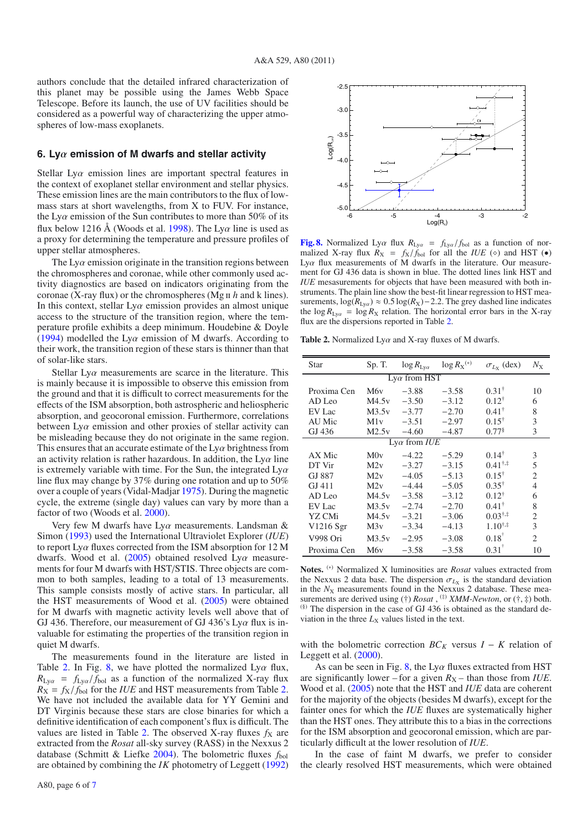authors conclude that the detailed infrared characterization of this planet may be possible using the James Webb Space Telescope. Before its launch, the use of UV facilities should be considered as a powerful way of characterizing the upper atmospheres of low-mass exoplanets.

#### **6. Ly**α **emission of M dwarfs and stellar activity**

Stellar  $Ly\alpha$  emission lines are important spectral features in the context of exoplanet stellar environment and stellar physics. These emission lines are the main contributors to the flux of lowmass stars at short wavelengths, from X to FUV. For instance, the Ly $\alpha$  emission of the Sun contributes to more than 50% of its flux below 1216 Å (Woods et al. 1998). The Ly $\alpha$  line is used as a proxy for determining the temperature and pressure profiles of upper stellar atmospheres.

The Ly $\alpha$  emission originate in the transition regions between the chromospheres and coronae, while other commonly used activity diagnostics are based on indicators originating from the coronae (X-ray flux) or the chromospheres (Mg ii *h* and k lines). In this context, stellar  $Ly\alpha$  emission provides an almost unique access to the structure of the transition region, where the temperature profile exhibits a deep minimum. Houdebine & Doyle (1994) modelled the Ly $\alpha$  emission of M dwarfs. According to their work, the transition region of these stars is thinner than that of solar-like stars.

Stellar  $Ly\alpha$  measurements are scarce in the literature. This is mainly because it is impossible to observe this emission from the ground and that it is difficult to correct measurements for the effects of the ISM absorption, both astrospheric and heliospheric absorption, and geocoronal emission. Furthermore, correlations between  $Ly\alpha$  emission and other proxies of stellar activity can be misleading because they do not originate in the same region. This ensures that an accurate estimate of the  $Ly\alpha$  brightness from an activity relation is rather hazardous. In addition, the  $Ly\alpha$  line is extremely variable with time. For the Sun, the integrated  $Ly\alpha$ line flux may change by 37% during one rotation and up to 50% over a couple of years (Vidal-Madjar 1975). During the magnetic cycle, the extreme (single day) values can vary by more than a factor of two (Woods et al. 2000).

Very few M dwarfs have Ly $\alpha$  measurements. Landsman & Simon (1993) used the International Ultraviolet Explorer (*IUE*) to report Ly $\alpha$  fluxes corrected from the ISM absorption for 12 M dwarfs. Wood et al. (2005) obtained resolved  $Ly\alpha$  measurements for four M dwarfs with HST/STIS. Three objects are common to both samples, leading to a total of 13 measurements. This sample consists mostly of active stars. In particular, all the HST measurements of Wood et al. (2005) were obtained for M dwarfs with magnetic activity levels well above that of GJ 436. Therefore, our measurement of GJ 436's  $Ly\alpha$  flux is invaluable for estimating the properties of the transition region in quiet M dwarfs.

The measurements found in the literature are listed in Table 2. In Fig. 8, we have plotted the normalized  $Ly\alpha$  flux,  $R_{Ly\alpha} = f_{Ly\alpha}/f_{bol}$  as a function of the normalized X-ray flux  $R_X = f_X/f_{bol}$  for the *IUE* and HST measurements from Table 2. We have not included the available data for YY Gemini and DT Virginis because these stars are close binaries for which a definitive identification of each component's flux is difficult. The values are listed in Table 2. The observed X-ray fluxes  $f_X$  are extracted from the *Rosat* all-sky survey (RASS) in the Nexxus 2 database (Schmitt & Liefke 2004). The bolometric fluxes *f*bol are obtained by combining the *IK* photometry of Leggett (1992)



**[Fig. 8.](http://dexter.edpsciences.org/applet.php?DOI=10.1051/0004-6361/201016162&pdf_id=8)** Normalized Ly $\alpha$  flux  $R_{Ly\alpha} = f_{Ly\alpha}/f_{bol}$  as a function of nor-<br>malized X-ray flux  $R_{V\alpha} = f_{V}/f_{bol}$  for all the *HIE* ( $\circ$ ) and HST ( $\bullet$ ) malized X-ray flux  $R_X = f_X/f_{bol}$  for all the *IUE* ( $\diamond$ ) and HST ( $\bullet$ )<br>*I vo* flux measurements of M dwarfs in the literature. Our measure-Ly $\alpha$  flux measurements of M dwarfs in the literature. Our measurement for GJ 436 data is shown in blue. The dotted lines link HST and *IUE* mesasurements for objects that have been measured with both instruments. The plain line show the best-fit linear regression to HST measurements,  $log(R_{Ly\alpha}) \approx 0.5 log(R_X) - 2.2$ . The grey dashed line indicates the  $\log R_{\text{Ly}\alpha} = \log R_{\text{X}}$  relation. The horizontal error bars in the X-ray flux are the dispersions reported in Table 2.

**Table 2.** Normalized Ly $\alpha$  and X-ray fluxes of M dwarfs.

| Star                  | Sp. T.          | $\log R_{\text{Ly}\alpha}$ | $\log R_X^{(*)}$ | $\sigma_{L_X}$ (dex) | $N_{\rm X}$                 |  |  |
|-----------------------|-----------------|----------------------------|------------------|----------------------|-----------------------------|--|--|
| $Lv\alpha$ from HST   |                 |                            |                  |                      |                             |  |  |
| Proxima Cen           | M6 <sub>v</sub> | $-3.88$                    | $-3.58$          | $0.31^{\dagger}$     | 10                          |  |  |
| AD Leo                | M4.5v           | $-3.50$                    | $-3.12$          | $0.12^{\dagger}$     | 6                           |  |  |
| EV Lac                | M3.5v           | $-3.77$                    | $-2.70$          | $0.41^{\dagger}$     | 8                           |  |  |
| AU Mic                | M1v             | $-3.51$                    | $-2.97$          | $0.15^{\dagger}$     | 3                           |  |  |
| GJ 436                | M2.5v           | $-4.60$                    | $-4.87$          | $0.77$ <sup>§</sup>  | 3                           |  |  |
| $Lv\alpha$ from $IUE$ |                 |                            |                  |                      |                             |  |  |
| AX Mic                | M0v             | $-4.22$                    | $-5.29$          | $0.14^{\dagger}$     | 3                           |  |  |
| DT Vir                | M2v             | $-3.27$                    | $-3.15$          | $0.41^{\dagger,*}$   | 5                           |  |  |
| GJ 887                | M2v             | $-4.05$                    | $-5.13$          | $0.15^{\dagger}$     | $\overline{c}$              |  |  |
| GJ 411                | M2v             | $-4.44$                    | $-5.05$          | $0.35^{\dagger}$     | 4                           |  |  |
| $AD$ Leo              | M4.5v           | $-3.58$                    | $-3.12$          | $0.12^{\dagger}$     | 6                           |  |  |
| EV Lac                | M3.5v           | $-2.74$                    | $-2.70$          | $0.41^{\dagger}$     | 8                           |  |  |
| YZ CMi                | M4.5v           | $-3.21$                    | $-3.06$          | $0.03^{\dagger,*}$   | $\overline{c}$              |  |  |
| V1216 Sgr             | M3v             | $-3.34$                    | $-4.13$          | $1.10^{\dagger,*}$   | 3                           |  |  |
| V998 Ori              | M3.5v           | $-2.95$                    | $-3.08$          | $0.18^{\dagger}$     | $\mathcal{D}_{\mathcal{A}}$ |  |  |
| Proxima Cen           | M6 <sub>v</sub> | $-3.58$                    | $-3.58$          | $0.31^{\dagger}$     | 10                          |  |  |
|                       |                 |                            |                  |                      |                             |  |  |

**Notes.** (∗) Normalized X luminosities are *Rosat* values extracted from the Nexxus 2 data base. The dispersion  $\sigma_{L_X}$  is the standard deviation in the  $N_X$  measurements found in the Nexxus 2 database. These measurements are derived using (†) *Rosat*, <sup>(‡)</sup> *XMM-Newton*, or (†, ‡) both. (§) The dispersion in the case of GJ 436 is obtained as the standard deviation in the three  $L_X$  values listed in the text.

with the bolometric correction  $BC_K$  versus  $I - K$  relation of Leggett et al. (2000).

As can be seen in Fig. 8, the Ly $\alpha$  fluxes extracted from HST are significantly lower – for a given  $R_X$  – than those from *IUE*. Wood et al. (2005) note that the HST and *IUE* data are coherent for the majority of the objects (besides M dwarfs), except for the fainter ones for which the *IUE* fluxes are systematically higher than the HST ones. They attribute this to a bias in the corrections for the ISM absorption and geocoronal emission, which are particularly difficult at the lower resolution of *IUE*.

In the case of faint M dwarfs, we prefer to consider the clearly resolved HST measurements, which were obtained